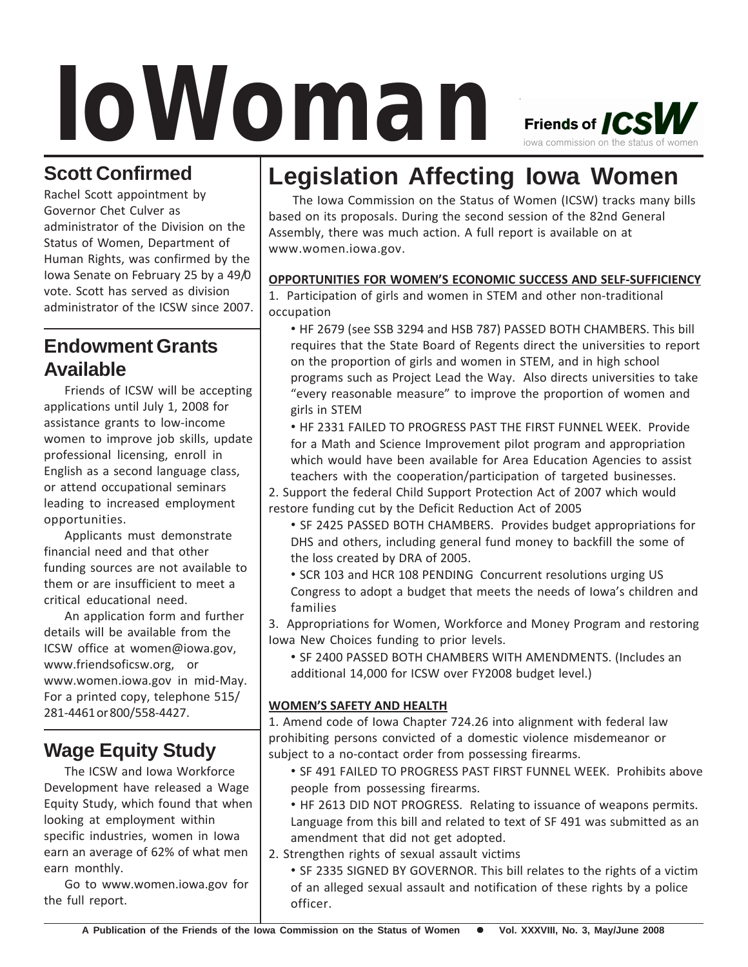# *IoWoman*



Rachel Scott appointment by Governor Chet Culver as administrator of the Division on the Status of Women, Department of Human Rights, was confirmed by the Iowa Senate on February 25 by a 49/0 vote. Scott has served as division administrator of the ICSW since 2007.

## **Endowment Grants Available**

Friends of ICSW will be accepting applications until July 1, 2008 for assistance grants to low-income women to improve job skills, update professional licensing, enroll in English as a second language class, or attend occupational seminars leading to increased employment opportunities.

Applicants must demonstrate financial need and that other funding sources are not available to them or are insufficient to meet a critical educational need.

An application form and further details will be available from the ICSW office at women@iowa.gov, www.friendsoficsw.org, or www.women.iowa.gov in mid-May. For a printed copy, telephone 515/ 281-4461 or 800/558-4427.

# **Wage Equity Study**

The ICSW and Iowa Workforce Development have released a Wage Equity Study, which found that when looking at employment within specific industries, women in Iowa earn an average of 62% of what men earn monthly.

Go to www.women.iowa.gov for the full report.

# **Legislation Affecting Iowa Women**

The Iowa Commission on the Status of Women (ICSW) tracks many bills based on its proposals. During the second session of the 82nd General Assembly, there was much action. A full report is available on at www.women.iowa.gov.

#### **OPPORTUNITIES FOR WOMEN'S ECONOMIC SUCCESS AND SELF-SUFFICIENCY**

1. Participation of girls and women in STEM and other non-traditional occupation

- HF 2679 (see SSB 3294 and HSB 787) PASSED BOTH CHAMBERS. This bill requires that the State Board of Regents direct the universities to report on the proportion of girls and women in STEM, and in high school programs such as Project Lead the Way. Also directs universities to take "every reasonable measure" to improve the proportion of women and girls in STEM
- HF 2331 FAILED TO PROGRESS PAST THE FIRST FUNNEL WEEK. Provide for a Math and Science Improvement pilot program and appropriation which would have been available for Area Education Agencies to assist teachers with the cooperation/participation of targeted businesses.

2. Support the federal Child Support Protection Act of 2007 which would restore funding cut by the Deficit Reduction Act of 2005

- SF 2425 PASSED BOTH CHAMBERS. Provides budget appropriations for DHS and others, including general fund money to backfill the some of the loss created by DRA of 2005.
- SCR 103 and HCR 108 PENDING Concurrent resolutions urging US Congress to adopt a budget that meets the needs of Iowa's children and families

3. Appropriations for Women, Workforce and Money Program and restoring Iowa New Choices funding to prior levels.

• SF 2400 PASSED BOTH CHAMBERS WITH AMENDMENTS. (Includes an additional 14,000 for ICSW over FY2008 budget level.)

#### **WOMEN'S SAFETY AND HEALTH**

1. Amend code of Iowa Chapter 724.26 into alignment with federal law prohibiting persons convicted of a domestic violence misdemeanor or subject to a no-contact order from possessing firearms.

- SF 491 FAILED TO PROGRESS PAST FIRST FUNNEL WEEK. Prohibits above people from possessing firearms.
- HF 2613 DID NOT PROGRESS. Relating to issuance of weapons permits. Language from this bill and related to text of SF 491 was submitted as an amendment that did not get adopted.
- 2. Strengthen rights of sexual assault victims

• SF 2335 SIGNED BY GOVERNOR. This bill relates to the rights of a victim of an alleged sexual assault and notification of these rights by a police officer.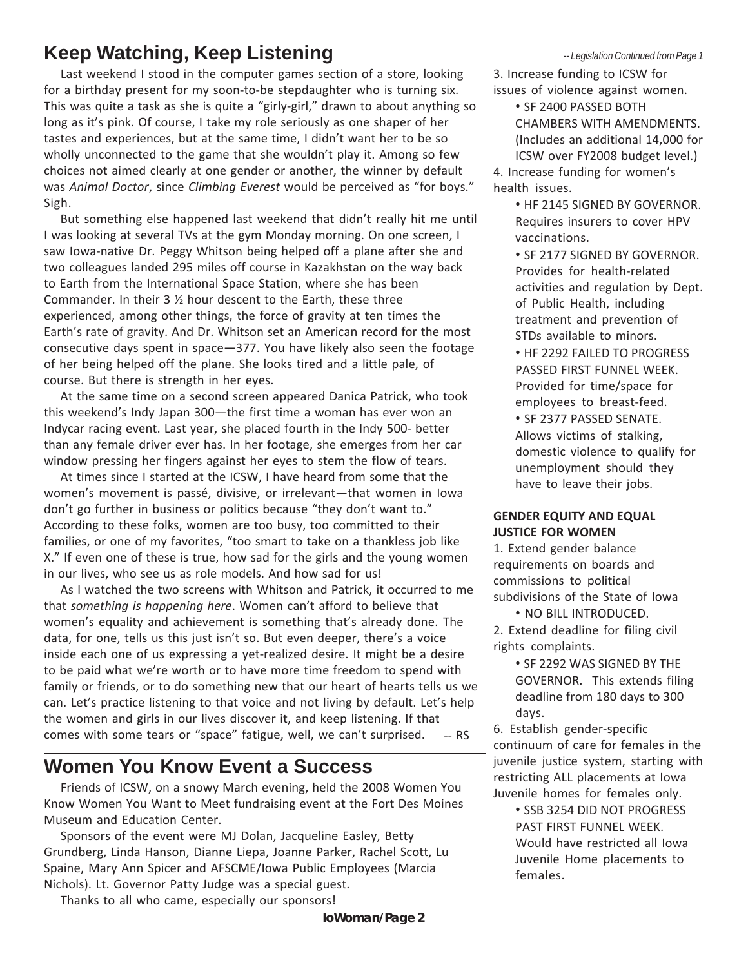## **Keep Watching, Keep Listening**

Last weekend I stood in the computer games section of a store, looking for a birthday present for my soon-to-be stepdaughter who is turning six. This was quite a task as she is quite a "girly-girl," drawn to about anything so long as it's pink. Of course, I take my role seriously as one shaper of her tastes and experiences, but at the same time, I didn't want her to be so wholly unconnected to the game that she wouldn't play it. Among so few choices not aimed clearly at one gender or another, the winner by default was *Animal Doctor*, since *Climbing Everest* would be perceived as "for boys." Sigh.

But something else happened last weekend that didn't really hit me until I was looking at several TVs at the gym Monday morning. On one screen, I saw Iowa-native Dr. Peggy Whitson being helped off a plane after she and two colleagues landed 295 miles off course in Kazakhstan on the way back to Earth from the International Space Station, where she has been Commander. In their 3 ½ hour descent to the Earth, these three experienced, among other things, the force of gravity at ten times the Earth's rate of gravity. And Dr. Whitson set an American record for the most consecutive days spent in space—377. You have likely also seen the footage of her being helped off the plane. She looks tired and a little pale, of course. But there is strength in her eyes.

At the same time on a second screen appeared Danica Patrick, who took this weekend's Indy Japan 300—the first time a woman has ever won an Indycar racing event. Last year, she placed fourth in the Indy 500- better than any female driver ever has. In her footage, she emerges from her car window pressing her fingers against her eyes to stem the flow of tears.

At times since I started at the ICSW, I have heard from some that the women's movement is passé, divisive, or irrelevant—that women in Iowa don't go further in business or politics because "they don't want to." According to these folks, women are too busy, too committed to their families, or one of my favorites, "too smart to take on a thankless job like X." If even one of these is true, how sad for the girls and the young women in our lives, who see us as role models. And how sad for us!

As I watched the two screens with Whitson and Patrick, it occurred to me that *something is happening here*. Women can't afford to believe that women's equality and achievement is something that's already done. The data, for one, tells us this just isn't so. But even deeper, there's a voice inside each one of us expressing a yet-realized desire. It might be a desire to be paid what we're worth or to have more time freedom to spend with family or friends, or to do something new that our heart of hearts tells us we can. Let's practice listening to that voice and not living by default. Let's help the women and girls in our lives discover it, and keep listening. If that comes with some tears or "space" fatigue, well, we can't surprised. -- RS

## **Women You Know Event a Success**

Friends of ICSW, on a snowy March evening, held the 2008 Women You Know Women You Want to Meet fundraising event at the Fort Des Moines Museum and Education Center.

Sponsors of the event were MJ Dolan, Jacqueline Easley, Betty Grundberg, Linda Hanson, Dianne Liepa, Joanne Parker, Rachel Scott, Lu Spaine, Mary Ann Spicer and AFSCME/Iowa Public Employees (Marcia Nichols). Lt. Governor Patty Judge was a special guest.

Thanks to all who came, especially our sponsors!

#### *-- Legislation Continued from Page 1*

3. Increase funding to ICSW for issues of violence against women.

• SF 2400 PASSED BOTH CHAMBERS WITH AMENDMENTS. (Includes an additional 14,000 for ICSW over FY2008 budget level.) 4. Increase funding for women's

health issues.

• HF 2145 SIGNED BY GOVERNOR. Requires insurers to cover HPV vaccinations.

- SF 2177 SIGNED BY GOVERNOR. Provides for health-related activities and regulation by Dept. of Public Health, including treatment and prevention of STDs available to minors.
- HF 2292 FAILED TO PROGRESS PASSED FIRST FUNNEL WEEK. Provided for time/space for employees to breast-feed.
- SF 2377 PASSED SENATE. Allows victims of stalking, domestic violence to qualify for unemployment should they have to leave their jobs.

#### **GENDER EQUITY AND EQUAL JUSTICE FOR WOMEN**

1. Extend gender balance requirements on boards and commissions to political subdivisions of the State of Iowa

• NO BILL INTRODUCED.

2. Extend deadline for filing civil rights complaints.

- SF 2292 WAS SIGNED BY THE GOVERNOR. This extends filing deadline from 180 days to 300 days.
- 6. Establish gender-specific continuum of care for females in the juvenile justice system, starting with restricting ALL placements at Iowa Juvenile homes for females only.
	- SSB 3254 DID NOT PROGRESS PAST FIRST FUNNEL WEEK. Would have restricted all Iowa Juvenile Home placements to females.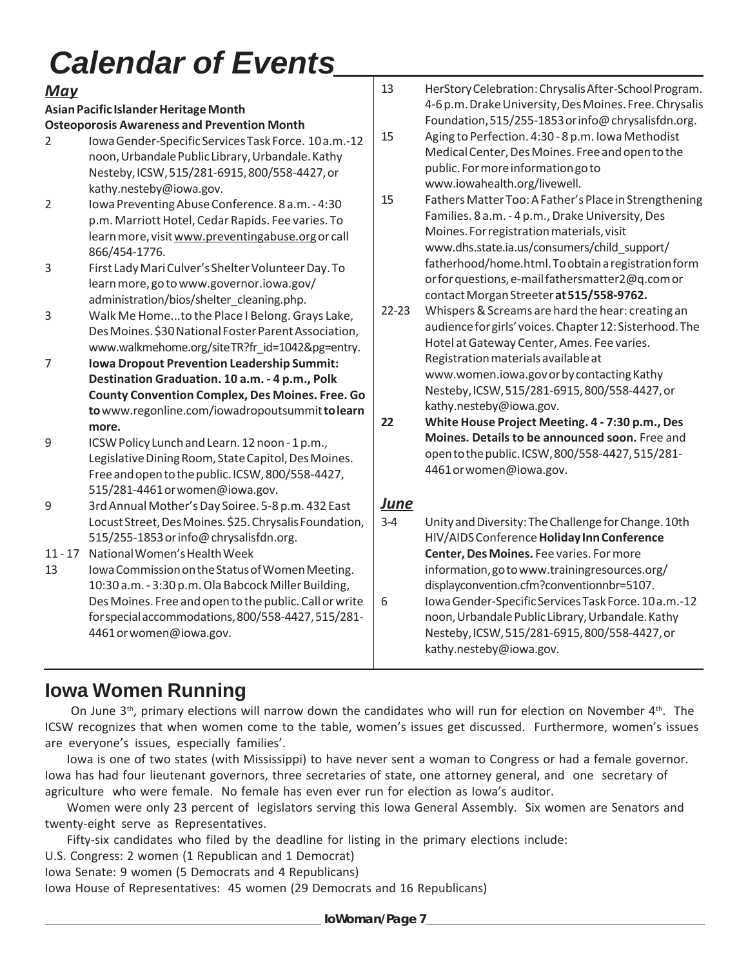# *Calendar of Events*

| U MI VI I MAI<br>$\sim$ $\sim$ $\sim$<br>— 1 V I I LV |                                                                                                                                                                                                                                                                                                                                                                                                                                                  |                        |                                                                                                                                                                                                                                                                                                                                                                                                                                                                                                                                                                                                                                                                                                                    |
|-------------------------------------------------------|--------------------------------------------------------------------------------------------------------------------------------------------------------------------------------------------------------------------------------------------------------------------------------------------------------------------------------------------------------------------------------------------------------------------------------------------------|------------------------|--------------------------------------------------------------------------------------------------------------------------------------------------------------------------------------------------------------------------------------------------------------------------------------------------------------------------------------------------------------------------------------------------------------------------------------------------------------------------------------------------------------------------------------------------------------------------------------------------------------------------------------------------------------------------------------------------------------------|
| <b>May</b>                                            |                                                                                                                                                                                                                                                                                                                                                                                                                                                  | 13                     | HerStory Celebration: Chrysalis After-School Program.                                                                                                                                                                                                                                                                                                                                                                                                                                                                                                                                                                                                                                                              |
| $\overline{2}$<br>$\overline{2}$                      | Asian Pacific Islander Heritage Month<br><b>Osteoporosis Awareness and Prevention Month</b><br>Iowa Gender-Specific Services Task Force. 10 a.m.-12<br>noon, Urbandale Public Library, Urbandale. Kathy<br>Nesteby, ICSW, 515/281-6915, 800/558-4427, or<br>kathy.nesteby@iowa.gov.<br>Iowa Preventing Abuse Conference. 8 a.m. - 4:30<br>p.m. Marriott Hotel, Cedar Rapids. Fee varies. To<br>learn more, visit www.preventingabuse.org or call | 15<br>15               | 4-6 p.m. Drake University, Des Moines. Free. Chrysalis<br>Foundation, 515/255-1853 or info@ chrysalisfdn.org.<br>Aging to Perfection. 4:30 - 8 p.m. Iowa Methodist<br>Medical Center, Des Moines. Free and open to the<br>public. For more information go to<br>www.iowahealth.org/livewell.<br>Fathers Matter Too: A Father's Place in Strengthening<br>Families. 8 a.m. - 4 p.m., Drake University, Des<br>Moines. For registration materials, visit<br>www.dhs.state.ia.us/consumers/child_support/<br>fatherhood/home.html. To obtain a registration form<br>or for questions, e-mail fathersmatter2@q.com or<br>contact Morgan Streeter at 515/558-9762.<br>Whispers & Screams are hard the hear: creating an |
| 3                                                     | 866/454-1776.<br>First Lady Mari Culver's Shelter Volunteer Day. To<br>learn more, go to www.governor.iowa.gov/<br>administration/bios/shelter_cleaning.php.                                                                                                                                                                                                                                                                                     | $22 - 23$              |                                                                                                                                                                                                                                                                                                                                                                                                                                                                                                                                                                                                                                                                                                                    |
| $\mathbf{3}$<br>$\overline{7}$                        | Walk Me Hometo the Place I Belong. Grays Lake,<br>Des Moines. \$30 National Foster Parent Association,<br>www.walkmehome.org/siteTR?fr_id=1042&pg=entry.<br><b>Iowa Dropout Prevention Leadership Summit:</b>                                                                                                                                                                                                                                    |                        | audience for girls' voices. Chapter 12: Sisterhood. The<br>Hotel at Gateway Center, Ames. Fee varies.<br>Registration materials available at                                                                                                                                                                                                                                                                                                                                                                                                                                                                                                                                                                       |
|                                                       | Destination Graduation. 10 a.m. - 4 p.m., Polk<br><b>County Convention Complex, Des Moines. Free. Go</b><br>to www.regonline.com/iowadropoutsummit to learn<br>more.                                                                                                                                                                                                                                                                             | 22                     | www.women.iowa.govorbycontacting Kathy<br>Nesteby, ICSW, 515/281-6915, 800/558-4427, or<br>kathy.nesteby@iowa.gov.<br>White House Project Meeting. 4 - 7:30 p.m., Des                                                                                                                                                                                                                                                                                                                                                                                                                                                                                                                                              |
| 9                                                     | ICSW Policy Lunch and Learn. 12 noon - 1 p.m.,<br>Legislative Dining Room, State Capitol, Des Moines.<br>Free and open to the public. ICSW, 800/558-4427,<br>515/281-4461 or women@iowa.gov.                                                                                                                                                                                                                                                     |                        | Moines. Details to be announced soon. Free and<br>open to the public. ICSW, 800/558-4427, 515/281-<br>4461 or women@iowa.gov.                                                                                                                                                                                                                                                                                                                                                                                                                                                                                                                                                                                      |
| 9                                                     | 3rd Annual Mother's Day Soiree. 5-8 p.m. 432 East<br>Locust Street, Des Moines. \$25. Chrysalis Foundation,<br>515/255-1853 or info@chrysalisfdn.org.                                                                                                                                                                                                                                                                                            | <u>June</u><br>$3 - 4$ | Unity and Diversity: The Challenge for Change. 10th<br>HIV/AIDS Conference Holiday Inn Conference                                                                                                                                                                                                                                                                                                                                                                                                                                                                                                                                                                                                                  |
| $11 - 17$<br>13                                       | National Women's Health Week<br>Iowa Commission on the Status of Women Meeting.<br>10:30 a.m. - 3:30 p.m. Ola Babcock Miller Building,                                                                                                                                                                                                                                                                                                           |                        | Center, Des Moines. Fee varies. For more<br>information, go to www.trainingresources.org/<br>displayconvention.cfm?conventionnbr=5107.                                                                                                                                                                                                                                                                                                                                                                                                                                                                                                                                                                             |
|                                                       | Des Moines. Free and open to the public. Call or write<br>for special accommodations, 800/558-4427, 515/281-                                                                                                                                                                                                                                                                                                                                     | 6                      | Iowa Gender-Specific Services Task Force. 10 a.m.-12<br>noon, Urbandale Public Library, Urbandale. Kathy                                                                                                                                                                                                                                                                                                                                                                                                                                                                                                                                                                                                           |

## **Iowa Women Running**

4461 or women@iowa.gov.

On June  $3<sup>th</sup>$ , primary elections will narrow down the candidates who will run for election on November  $4<sup>th</sup>$ . The ICSW recognizes that when women come to the table, women's issues get discussed. Furthermore, women's issues are everyone's issues, especially families'.

Nesteby, ICSW, 515/281-6915, 800/558-4427, or

kathy.nesteby@iowa.gov.

Iowa is one of two states (with Mississippi) to have never sent a woman to Congress or had a female governor. Iowa has had four lieutenant governors, three secretaries of state, one attorney general, and one secretary of agriculture who were female. No female has even ever run for election as Iowa's auditor.

Women were only 23 percent of legislators serving this Iowa General Assembly. Six women are Senators and twenty-eight serve as Representatives.

Fifty-six candidates who filed by the deadline for listing in the primary elections include:

U.S. Congress: 2 women (1 Republican and 1 Democrat)

Iowa Senate: 9 women (5 Democrats and 4 Republicans)

Iowa House of Representatives: 45 women (29 Democrats and 16 Republicans)